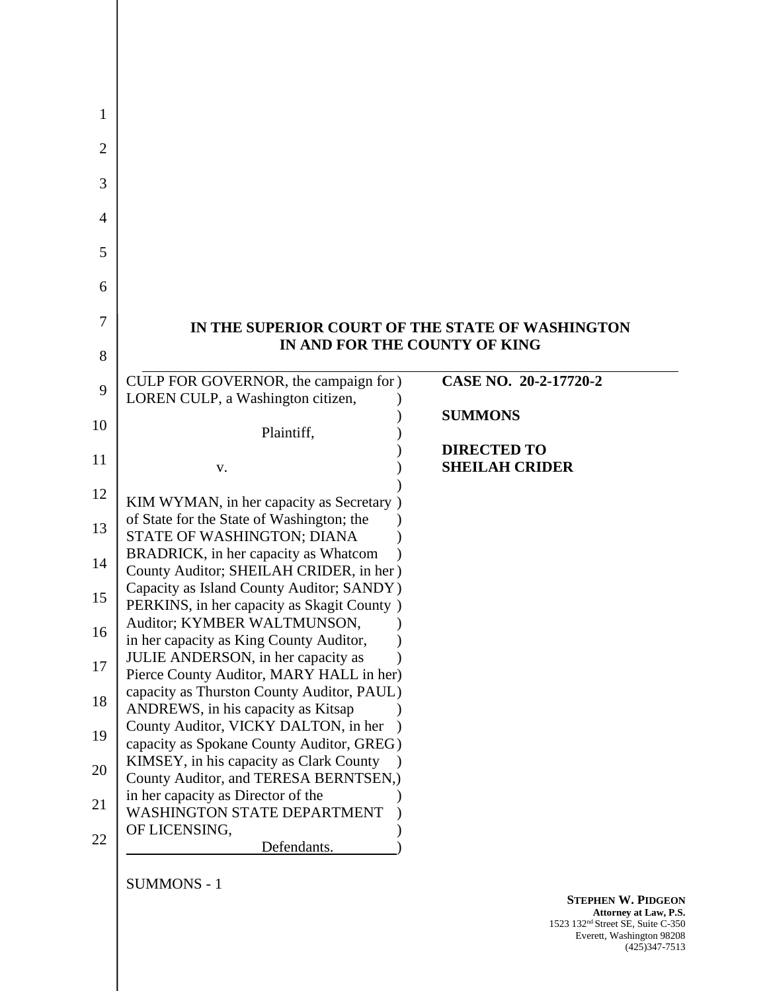|                                                                                      | IN THE SUPERIOR COURT OF THE STATE OF WASHINGTON |
|--------------------------------------------------------------------------------------|--------------------------------------------------|
|                                                                                      | IN AND FOR THE COUNTY OF KING                    |
| CULP FOR GOVERNOR, the campaign for )                                                | CASE NO. 20-2-17720-2                            |
| LOREN CULP, a Washington citizen,                                                    | <b>SUMMONS</b>                                   |
| Plaintiff,                                                                           |                                                  |
|                                                                                      | <b>DIRECTED TO</b>                               |
| V.                                                                                   | <b>SHEILAH CRIDER</b>                            |
| KIM WYMAN, in her capacity as Secretary)                                             |                                                  |
| of State for the State of Washington; the<br>STATE OF WASHINGTON; DIANA              |                                                  |
| BRADRICK, in her capacity as Whatcom                                                 |                                                  |
| County Auditor; SHEILAH CRIDER, in her)<br>Capacity as Island County Auditor; SANDY) |                                                  |
| PERKINS, in her capacity as Skagit County )                                          |                                                  |
| Auditor; KYMBER WALTMUNSON,<br>in her capacity as King County Auditor,               |                                                  |
| JULIE ANDERSON, in her capacity as                                                   |                                                  |
| Pierce County Auditor, MARY HALL in her)                                             |                                                  |
| capacity as Thurston County Auditor, PAUL)<br>ANDREWS, in his capacity as Kitsap     |                                                  |
| County Auditor, VICKY DALTON, in her                                                 |                                                  |
| capacity as Spokane County Auditor, GREG)<br>KIMSEY, in his capacity as Clark County |                                                  |
| County Auditor, and TERESA BERNTSEN,)                                                |                                                  |
| in her capacity as Director of the                                                   |                                                  |
| <b>WASHINGTON STATE DEPARTMENT</b>                                                   |                                                  |
| OF LICENSING,                                                                        |                                                  |